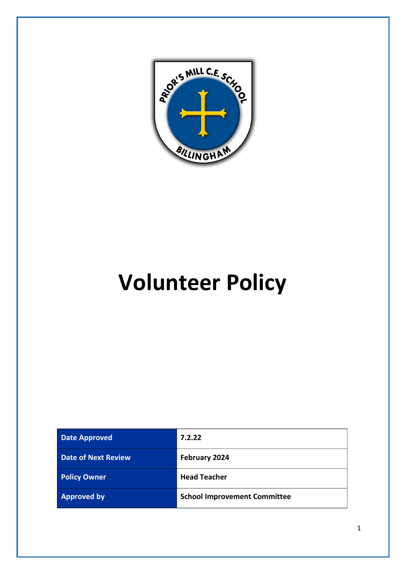

# **Volunteer Policy**

| <b>Date Approved</b>       | 7.2.22                              |
|----------------------------|-------------------------------------|
| <b>Date of Next Review</b> | February 2024                       |
| <b>Policy Owner</b>        | <b>Head Teacher</b>                 |
| <b>Approved by</b>         | <b>School Improvement Committee</b> |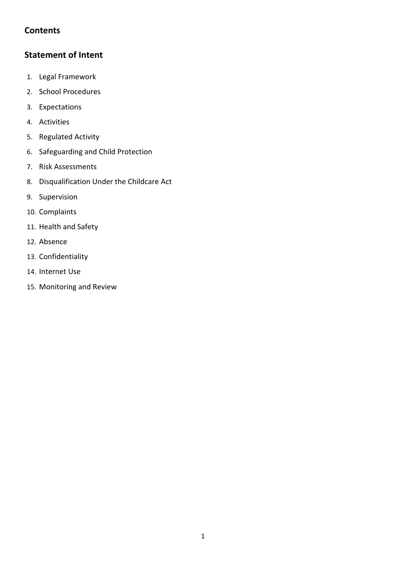# **Contents**

# **Statement of Intent**

- 1. Legal Framework
- 2. School Procedures
- 3. Expectations
- 4. Activities
- 5. Regulated Activity
- 6. Safeguarding and Child Protection
- 7. Risk Assessments
- 8. Disqualification Under the Childcare Act
- 9. Supervision
- 10. Complaints
- 11. Health and Safety
- 12. Absence
- 13. Confidentiality
- 14. Internet Use
- 15. Monitoring and Review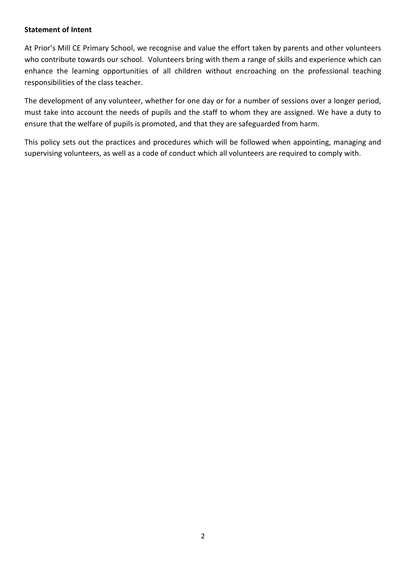#### **Statement of Intent**

At Prior's Mill CE Primary School, we recognise and value the effort taken by parents and other volunteers who contribute towards our school. Volunteers bring with them a range of skills and experience which can enhance the learning opportunities of all children without encroaching on the professional teaching responsibilities of the class teacher.

The development of any volunteer, whether for one day or for a number of sessions over a longer period, must take into account the needs of pupils and the staff to whom they are assigned. We have a duty to ensure that the welfare of pupils is promoted, and that they are safeguarded from harm.

This policy sets out the practices and procedures which will be followed when appointing, managing and supervising volunteers, as well as a code of conduct which all volunteers are required to comply with.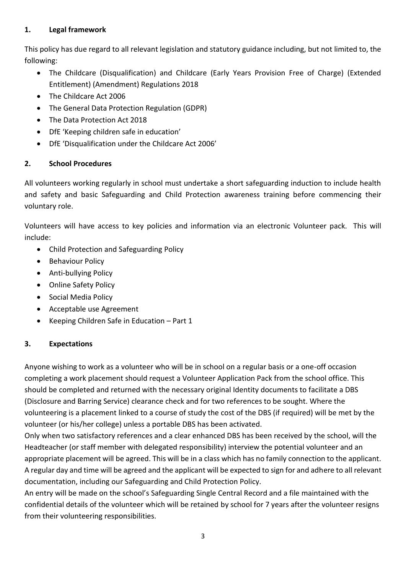## **1. Legal framework**

This policy has due regard to all relevant legislation and statutory guidance including, but not limited to, the following:

- The Childcare (Disqualification) and Childcare (Early Years Provision Free of Charge) (Extended Entitlement) (Amendment) Regulations 2018
- The Childcare Act 2006
- The General Data Protection Regulation (GDPR)
- The Data Protection Act 2018
- DfE 'Keeping children safe in education'
- DfE 'Disqualification under the Childcare Act 2006'

# **2. School Procedures**

All volunteers working regularly in school must undertake a short safeguarding induction to include health and safety and basic Safeguarding and Child Protection awareness training before commencing their voluntary role.

Volunteers will have access to key policies and information via an electronic Volunteer pack. This will include:

- Child Protection and Safeguarding Policy
- Behaviour Policy
- Anti-bullying Policy
- Online Safety Policy
- Social Media Policy
- Acceptable use Agreement
- Keeping Children Safe in Education Part 1

# **3. Expectations**

Anyone wishing to work as a volunteer who will be in school on a regular basis or a one-off occasion completing a work placement should request a Volunteer Application Pack from the school office. This should be completed and returned with the necessary original Identity documents to facilitate a DBS (Disclosure and Barring Service) clearance check and for two references to be sought. Where the volunteering is a placement linked to a course of study the cost of the DBS (if required) will be met by the volunteer (or his/her college) unless a portable DBS has been activated.

Only when two satisfactory references and a clear enhanced DBS has been received by the school, will the Headteacher (or staff member with delegated responsibility) interview the potential volunteer and an appropriate placement will be agreed. This will be in a class which has no family connection to the applicant. A regular day and time will be agreed and the applicant will be expected to sign for and adhere to all relevant documentation, including our Safeguarding and Child Protection Policy.

An entry will be made on the school's Safeguarding Single Central Record and a file maintained with the confidential details of the volunteer which will be retained by school for 7 years after the volunteer resigns from their volunteering responsibilities.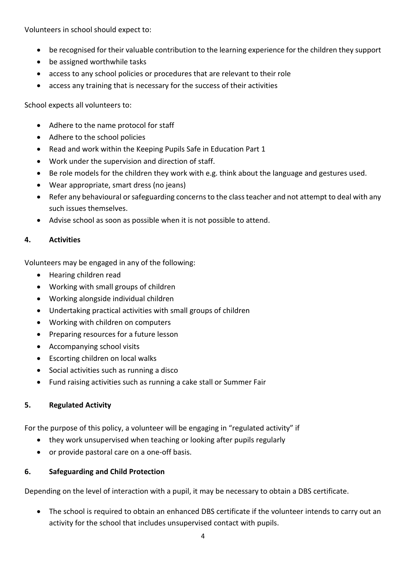Volunteers in school should expect to:

- be recognised for their valuable contribution to the learning experience for the children they support
- be assigned worthwhile tasks
- access to any school policies or procedures that are relevant to their role
- access any training that is necessary for the success of their activities

School expects all volunteers to:

- Adhere to the name protocol for staff
- Adhere to the school policies
- Read and work within the Keeping Pupils Safe in Education Part 1
- Work under the supervision and direction of staff.
- Be role models for the children they work with e.g. think about the language and gestures used.
- Wear appropriate, smart dress (no jeans)
- Refer any behavioural or safeguarding concerns to the class teacher and not attempt to deal with any such issues themselves.
- Advise school as soon as possible when it is not possible to attend.

#### **4. Activities**

Volunteers may be engaged in any of the following:

- Hearing children read
- Working with small groups of children
- Working alongside individual children
- Undertaking practical activities with small groups of children
- Working with children on computers
- Preparing resources for a future lesson
- Accompanying school visits
- Escorting children on local walks
- Social activities such as running a disco
- Fund raising activities such as running a cake stall or Summer Fair

# **5. Regulated Activity**

For the purpose of this policy, a volunteer will be engaging in "regulated activity" if

- they work unsupervised when teaching or looking after pupils regularly
- or provide pastoral care on a one-off basis.

#### **6. Safeguarding and Child Protection**

Depending on the level of interaction with a pupil, it may be necessary to obtain a DBS certificate.

• The school is required to obtain an enhanced DBS certificate if the volunteer intends to carry out an activity for the school that includes unsupervised contact with pupils.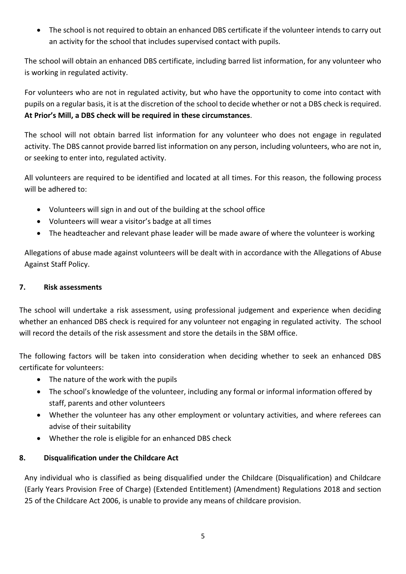• The school is not required to obtain an enhanced DBS certificate if the volunteer intends to carry out an activity for the school that includes supervised contact with pupils.

The school will obtain an enhanced DBS certificate, including barred list information, for any volunteer who is working in regulated activity.

For volunteers who are not in regulated activity, but who have the opportunity to come into contact with pupils on a regular basis, it is at the discretion of the school to decide whether or not a DBS check is required. **At Prior's Mill, a DBS check will be required in these circumstances**.

The school will not obtain barred list information for any volunteer who does not engage in regulated activity. The DBS cannot provide barred list information on any person, including volunteers, who are not in, or seeking to enter into, regulated activity.

All volunteers are required to be identified and located at all times. For this reason, the following process will be adhered to:

- Volunteers will sign in and out of the building at the school office
- Volunteers will wear a visitor's badge at all times
- The headteacher and relevant phase leader will be made aware of where the volunteer is working

Allegations of abuse made against volunteers will be dealt with in accordance with the Allegations of Abuse Against Staff Policy.

## **7. Risk assessments**

The school will undertake a risk assessment, using professional judgement and experience when deciding whether an enhanced DBS check is required for any volunteer not engaging in regulated activity. The school will record the details of the risk assessment and store the details in the SBM office.

The following factors will be taken into consideration when deciding whether to seek an enhanced DBS certificate for volunteers:

- The nature of the work with the pupils
- The school's knowledge of the volunteer, including any formal or informal information offered by staff, parents and other volunteers
- Whether the volunteer has any other employment or voluntary activities, and where referees can advise of their suitability
- Whether the role is eligible for an enhanced DBS check

# **8. Disqualification under the Childcare Act**

Any individual who is classified as being disqualified under the Childcare (Disqualification) and Childcare (Early Years Provision Free of Charge) (Extended Entitlement) (Amendment) Regulations 2018 and section 25 of the Childcare Act 2006, is unable to provide any means of childcare provision.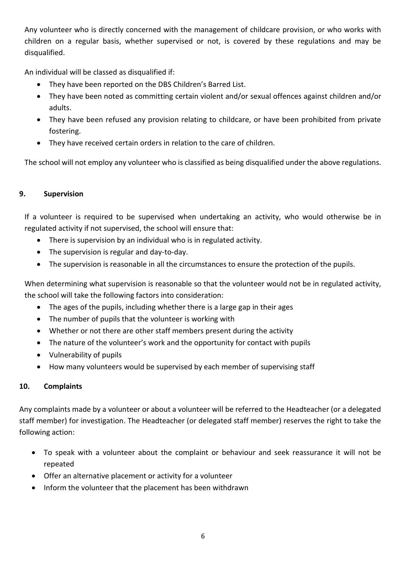Any volunteer who is directly concerned with the management of childcare provision, or who works with children on a regular basis, whether supervised or not, is covered by these regulations and may be disqualified.

An individual will be classed as disqualified if:

- They have been reported on the DBS Children's Barred List.
- They have been noted as committing certain violent and/or sexual offences against children and/or adults.
- They have been refused any provision relating to childcare, or have been prohibited from private fostering.
- They have received certain orders in relation to the care of children.

The school will not employ any volunteer who is classified as being disqualified under the above regulations.

## **9. Supervision**

If a volunteer is required to be supervised when undertaking an activity, who would otherwise be in regulated activity if not supervised, the school will ensure that:

- There is supervision by an individual who is in regulated activity.
- The supervision is regular and day-to-day.
- The supervision is reasonable in all the circumstances to ensure the protection of the pupils.

When determining what supervision is reasonable so that the volunteer would not be in regulated activity, the school will take the following factors into consideration:

- The ages of the pupils, including whether there is a large gap in their ages
- The number of pupils that the volunteer is working with
- Whether or not there are other staff members present during the activity
- The nature of the volunteer's work and the opportunity for contact with pupils
- Vulnerability of pupils
- How many volunteers would be supervised by each member of supervising staff

# **10. Complaints**

Any complaints made by a volunteer or about a volunteer will be referred to the Headteacher (or a delegated staff member) for investigation. The Headteacher (or delegated staff member) reserves the right to take the following action:

- To speak with a volunteer about the complaint or behaviour and seek reassurance it will not be repeated
- Offer an alternative placement or activity for a volunteer
- Inform the volunteer that the placement has been withdrawn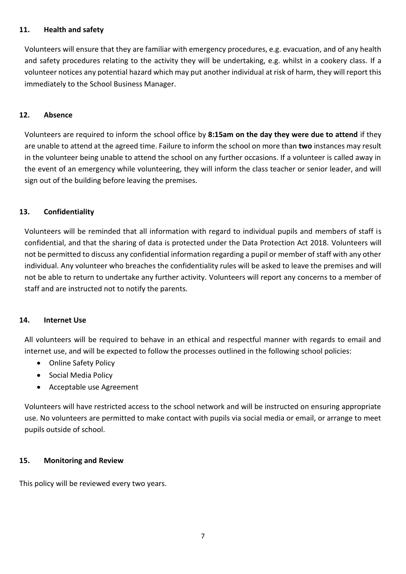#### **11. Health and safety**

Volunteers will ensure that they are familiar with emergency procedures, e.g. evacuation, and of any health and safety procedures relating to the activity they will be undertaking, e.g. whilst in a cookery class. If a volunteer notices any potential hazard which may put another individual at risk of harm, they will report this immediately to the School Business Manager.

#### **12. Absence**

Volunteers are required to inform the school office by **8:15am on the day they were due to attend** if they are unable to attend at the agreed time. Failure to inform the school on more than **two** instances may result in the volunteer being unable to attend the school on any further occasions. If a volunteer is called away in the event of an emergency while volunteering, they will inform the class teacher or senior leader, and will sign out of the building before leaving the premises.

#### **13. Confidentiality**

Volunteers will be reminded that all information with regard to individual pupils and members of staff is confidential, and that the sharing of data is protected under the Data Protection Act 2018. Volunteers will not be permitted to discuss any confidential information regarding a pupil or member of staff with any other individual. Any volunteer who breaches the confidentiality rules will be asked to leave the premises and will not be able to return to undertake any further activity. Volunteers will report any concerns to a member of staff and are instructed not to notify the parents.

#### **14. Internet Use**

All volunteers will be required to behave in an ethical and respectful manner with regards to email and internet use, and will be expected to follow the processes outlined in the following school policies:

- Online Safety Policy
- Social Media Policy
- Acceptable use Agreement

Volunteers will have restricted access to the school network and will be instructed on ensuring appropriate use. No volunteers are permitted to make contact with pupils via social media or email, or arrange to meet pupils outside of school.

#### **15. Monitoring and Review**

This policy will be reviewed every two years.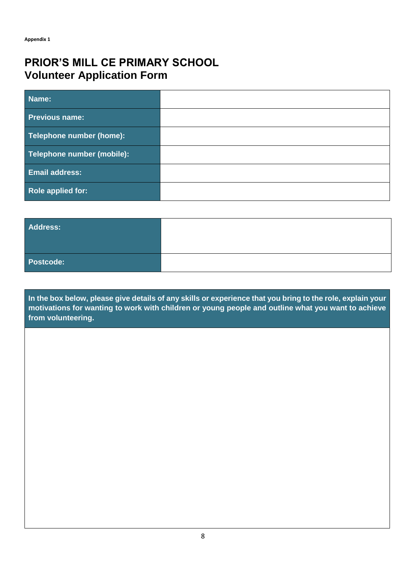# **PRIOR'S MILL CE PRIMARY SCHOOL Volunteer Application Form**

| Name:                      |  |
|----------------------------|--|
| <b>Previous name:</b>      |  |
| Telephone number (home):   |  |
| Telephone number (mobile): |  |
| <b>Email address:</b>      |  |
| Role applied for:          |  |

| Address:  |  |
|-----------|--|
| Postcode: |  |

**In the box below, please give details of any skills or experience that you bring to the role, explain your motivations for wanting to work with children or young people and outline what you want to achieve from volunteering.**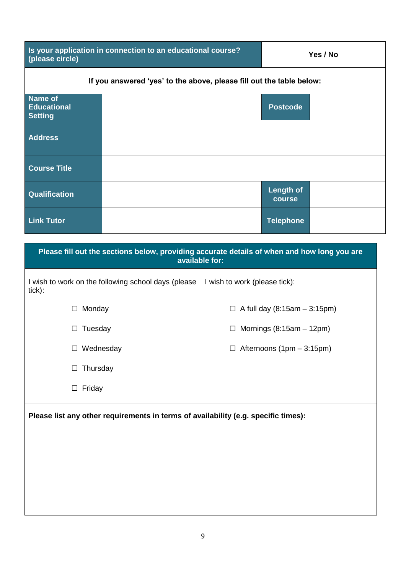| (please circle)                                                      | Is your application in connection to an educational course? |                            | Yes / No |
|----------------------------------------------------------------------|-------------------------------------------------------------|----------------------------|----------|
| If you answered 'yes' to the above, please fill out the table below: |                                                             |                            |          |
| Name of<br><b>Educational</b><br><b>Setting</b>                      |                                                             | <b>Postcode</b>            |          |
| <b>Address</b>                                                       |                                                             |                            |          |
| <b>Course Title</b>                                                  |                                                             |                            |          |
| Qualification                                                        |                                                             | <b>Length of</b><br>course |          |
| <b>Link Tutor</b>                                                    |                                                             | <b>Telephone</b>           |          |

| Please fill out the sections below, providing accurate details of when and how long you are<br>available for: |                                          |
|---------------------------------------------------------------------------------------------------------------|------------------------------------------|
| I wish to work on the following school days (please<br>tick):                                                 | I wish to work (please tick):            |
| Monday                                                                                                        | A full day $(8:15am - 3:15pm)$<br>$\Box$ |
| Tuesday<br>⊔                                                                                                  | Mornings $(8:15am - 12pm)$               |
| Wednesday                                                                                                     | Afternoons (1pm - 3:15pm)                |
| Thursday<br>$\Box$                                                                                            |                                          |
| Friday<br>□                                                                                                   |                                          |
| Please list any other requirements in terms of availability (e.g. specific times):                            |                                          |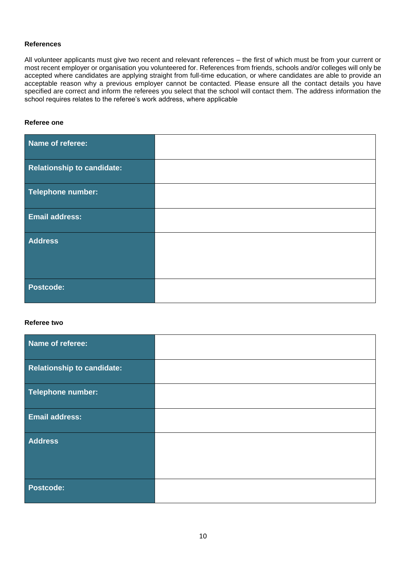#### **References**

All volunteer applicants must give two recent and relevant references – the first of which must be from your current or most recent employer or organisation you volunteered for. References from friends, schools and/or colleges will only be accepted where candidates are applying straight from full-time education, or where candidates are able to provide an acceptable reason why a previous employer cannot be contacted. Please ensure all the contact details you have specified are correct and inform the referees you select that the school will contact them. The address information the school requires relates to the referee's work address, where applicable

#### **Referee one**

| Name of referee:                  |  |
|-----------------------------------|--|
| <b>Relationship to candidate:</b> |  |
| Telephone number:                 |  |
| <b>Email address:</b>             |  |
| <b>Address</b>                    |  |
|                                   |  |
| <b>Postcode:</b>                  |  |

#### **Referee two**

| Name of referee:           |  |
|----------------------------|--|
| Relationship to candidate: |  |
| Telephone number:          |  |
| <b>Email address:</b>      |  |
| <b>Address</b>             |  |
| <b>Postcode:</b>           |  |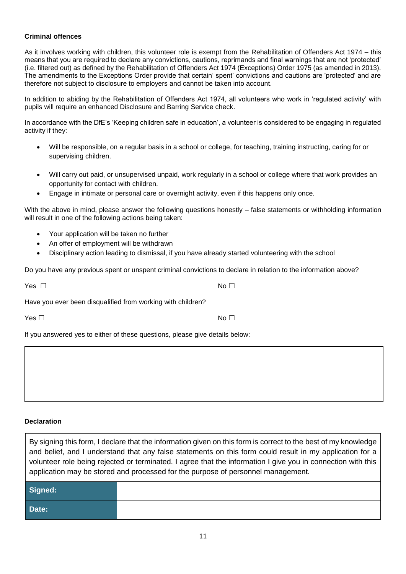#### **Criminal offences**

As it involves working with children, this volunteer role is exempt from the Rehabilitation of Offenders Act 1974 – this means that you are required to declare any convictions, cautions, reprimands and final warnings that are not 'protected' (i.e. filtered out) as defined by the Rehabilitation of Offenders Act 1974 (Exceptions) Order 1975 (as amended in 2013). The amendments to the Exceptions Order provide that certain' spent' convictions and cautions are 'protected' and are therefore not subject to disclosure to employers and cannot be taken into account.

In addition to abiding by the Rehabilitation of Offenders Act 1974, all volunteers who work in 'regulated activity' with pupils will require an enhanced Disclosure and Barring Service check.

In accordance with the DfE's 'Keeping children safe in education', a volunteer is considered to be engaging in regulated activity if they:

- Will be responsible, on a regular basis in a school or college, for teaching, training instructing, caring for or supervising children.
- Will carry out paid, or unsupervised unpaid, work regularly in a school or college where that work provides an opportunity for contact with children.
- Engage in intimate or personal care or overnight activity, even if this happens only once.

With the above in mind, please answer the following questions honestly – false statements or withholding information will result in one of the following actions being taken:

- Your application will be taken no further
- An offer of employment will be withdrawn
- Disciplinary action leading to dismissal, if you have already started volunteering with the school

Do you have any previous spent or unspent criminal convictions to declare in relation to the information above?

 $Yes \Box$ 

Have you ever been disqualified from working with children?

 $\mathsf{Yes} \ \Box$ 

If you answered yes to either of these questions, please give details below:

#### **Declaration**

By signing this form, I declare that the information given on this form is correct to the best of my knowledge and belief, and I understand that any false statements on this form could result in my application for a volunteer role being rejected or terminated. I agree that the information I give you in connection with this application may be stored and processed for the purpose of personnel management.

| Signed: |  |
|---------|--|
| Date:   |  |